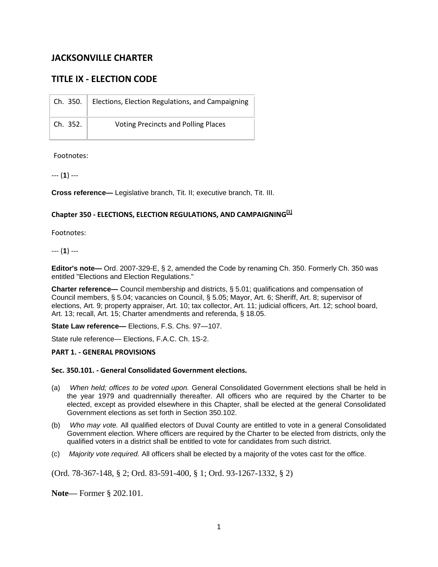# **JACKSONVILLE CHARTER**

# **TITLE IX - ELECTION CODE**

| Ch. 350. | Elections, Election Regulations, and Campaigning |
|----------|--------------------------------------------------|
| Ch. 352. | <b>Voting Precincts and Polling Places</b>       |

Footnotes:

--- (**1**) ---

**Cross reference—** Legislative branch, Tit. II; executive branch, Tit. III.

# **Chapter 350 - ELECTIONS, ELECTION REGULATIONS, AND CAMPAIGNING [1]**

Footnotes:

--- (**1**) ---

**Editor's note—** Ord. 2007-329-E, § 2, amended the Code by renaming Ch. 350. Formerly Ch. 350 was entitled "Elections and Election Regulations."

**Charter reference—** Council membership and districts, § 5.01; qualifications and compensation of Council members, § 5.04; vacancies on Council, § 5.05; Mayor, Art. 6; Sheriff, Art. 8; supervisor of elections, Art. 9; property appraiser, Art. 10; tax collector, Art. 11; judicial officers, Art. 12; school board, Art. 13; recall, Art. 15; Charter amendments and referenda, § 18.05.

**State Law reference—** Elections, F.S. Chs. 97—107.

State rule reference— Elections, F.A.C. Ch. 1S-2.

#### **PART 1. - GENERAL PROVISIONS**

#### **Sec. 350.101. - General Consolidated Government elections.**

- (a) *When held; offices to be voted upon.* General Consolidated Government elections shall be held in the year 1979 and quadrennially thereafter. All officers who are required by the Charter to be elected, except as provided elsewhere in this Chapter, shall be elected at the general Consolidated Government elections as set forth in Section 350.102.
- (b) *Who may vote.* All qualified electors of Duval County are entitled to vote in a general Consolidated Government election. Where officers are required by the Charter to be elected from districts, only the qualified voters in a district shall be entitled to vote for candidates from such district.
- (c) *Majority vote required.* All officers shall be elected by a majority of the votes cast for the office.

(Ord. 78-367-148, § 2; Ord. 83-591-400, § 1; Ord. 93-1267-1332, § 2)

**Note—** Former § 202.101.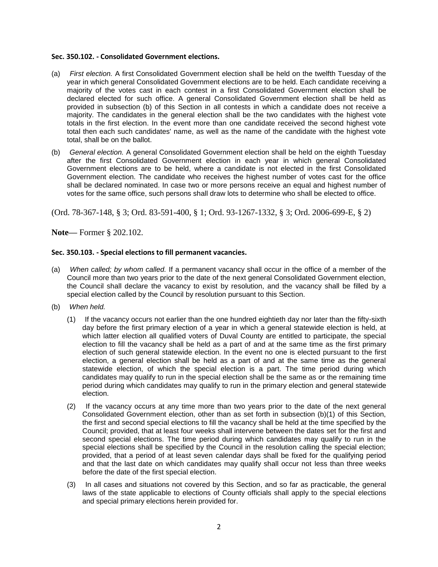#### **Sec. 350.102. - Consolidated Government elections.**

- (a) *First election.* A first Consolidated Government election shall be held on the twelfth Tuesday of the year in which general Consolidated Government elections are to be held. Each candidate receiving a majority of the votes cast in each contest in a first Consolidated Government election shall be declared elected for such office. A general Consolidated Government election shall be held as provided in subsection (b) of this Section in all contests in which a candidate does not receive a majority. The candidates in the general election shall be the two candidates with the highest vote totals in the first election. In the event more than one candidate received the second highest vote total then each such candidates' name, as well as the name of the candidate with the highest vote total, shall be on the ballot.
- (b) *General election.* A general Consolidated Government election shall be held on the eighth Tuesday after the first Consolidated Government election in each year in which general Consolidated Government elections are to be held, where a candidate is not elected in the first Consolidated Government election. The candidate who receives the highest number of votes cast for the office shall be declared nominated. In case two or more persons receive an equal and highest number of votes for the same office, such persons shall draw lots to determine who shall be elected to office.

(Ord. 78-367-148, § 3; Ord. 83-591-400, § 1; Ord. 93-1267-1332, § 3; Ord. 2006-699-E, § 2)

**Note—** Former § 202.102.

# **Sec. 350.103. - Special elections to fill permanent vacancies.**

- (a) *When called; by whom called.* If a permanent vacancy shall occur in the office of a member of the Council more than two years prior to the date of the next general Consolidated Government election, the Council shall declare the vacancy to exist by resolution, and the vacancy shall be filled by a special election called by the Council by resolution pursuant to this Section.
- (b) *When held.*
	- (1) If the vacancy occurs not earlier than the one hundred eightieth day nor later than the fifty-sixth day before the first primary election of a year in which a general statewide election is held, at which latter election all qualified voters of Duval County are entitled to participate, the special election to fill the vacancy shall be held as a part of and at the same time as the first primary election of such general statewide election. In the event no one is elected pursuant to the first election, a general election shall be held as a part of and at the same time as the general statewide election, of which the special election is a part. The time period during which candidates may qualify to run in the special election shall be the same as or the remaining time period during which candidates may qualify to run in the primary election and general statewide election.
	- (2) If the vacancy occurs at any time more than two years prior to the date of the next general Consolidated Government election, other than as set forth in subsection (b)(1) of this Section, the first and second special elections to fill the vacancy shall be held at the time specified by the Council; provided, that at least four weeks shall intervene between the dates set for the first and second special elections. The time period during which candidates may qualify to run in the special elections shall be specified by the Council in the resolution calling the special election; provided, that a period of at least seven calendar days shall be fixed for the qualifying period and that the last date on which candidates may qualify shall occur not less than three weeks before the date of the first special election.
	- (3) In all cases and situations not covered by this Section, and so far as practicable, the general laws of the state applicable to elections of County officials shall apply to the special elections and special primary elections herein provided for.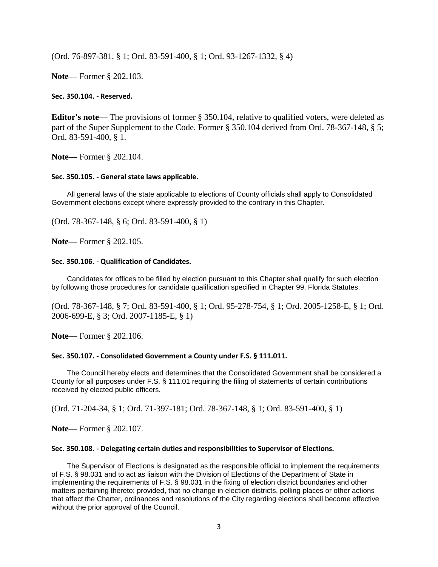(Ord. 76-897-381, § 1; Ord. 83-591-400, § 1; Ord. 93-1267-1332, § 4)

**Note—** Former § 202.103.

**Sec. 350.104. - Reserved.** 

**Editor's note—** The provisions of former § 350.104, relative to qualified voters, were deleted as part of the Super Supplement to the Code. Former § 350.104 derived from Ord. 78-367-148, § 5; Ord. 83-591-400, § 1.

**Note—** Former § 202.104.

#### **Sec. 350.105. - General state laws applicable.**

All general laws of the state applicable to elections of County officials shall apply to Consolidated Government elections except where expressly provided to the contrary in this Chapter.

(Ord. 78-367-148, § 6; Ord. 83-591-400, § 1)

**Note—** Former § 202.105.

#### **Sec. 350.106. - Qualification of Candidates.**

Candidates for offices to be filled by election pursuant to this Chapter shall qualify for such election by following those procedures for candidate qualification specified in Chapter 99, Florida Statutes.

(Ord. 78-367-148, § 7; Ord. 83-591-400, § 1; Ord. 95-278-754, § 1; Ord. 2005-1258-E, § 1; Ord. 2006-699-E, § 3; Ord. 2007-1185-E, § 1)

**Note—** Former § 202.106.

#### **Sec. 350.107. - Consolidated Government a County under F.S. § 111.011.**

The Council hereby elects and determines that the Consolidated Government shall be considered a County for all purposes under F.S. § 111.01 requiring the filing of statements of certain contributions received by elected public officers.

(Ord. 71-204-34, § 1; Ord. 71-397-181; Ord. 78-367-148, § 1; Ord. 83-591-400, § 1)

**Note—** Former § 202.107.

#### **Sec. 350.108. - Delegating certain duties and responsibilities to Supervisor of Elections.**

The Supervisor of Elections is designated as the responsible official to implement the requirements of F.S. § 98.031 and to act as liaison with the Division of Elections of the Department of State in implementing the requirements of F.S. § 98.031 in the fixing of election district boundaries and other matters pertaining thereto; provided, that no change in election districts, polling places or other actions that affect the Charter, ordinances and resolutions of the City regarding elections shall become effective without the prior approval of the Council.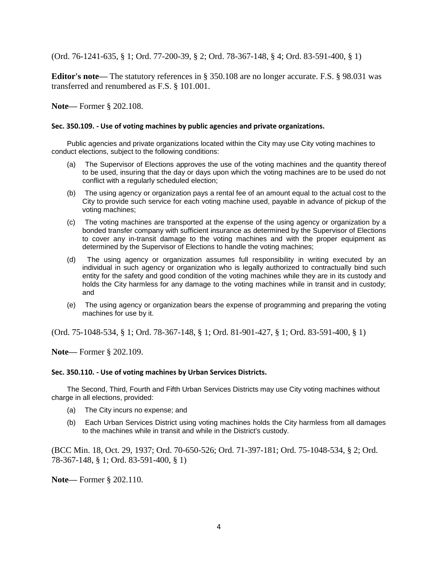(Ord. 76-1241-635, § 1; Ord. 77-200-39, § 2; Ord. 78-367-148, § 4; Ord. 83-591-400, § 1)

**Editor's note—** The statutory references in § 350.108 are no longer accurate. F.S. § 98.031 was transferred and renumbered as F.S. § 101.001.

**Note—** Former § 202.108.

# **Sec. 350.109. - Use of voting machines by public agencies and private organizations.**

Public agencies and private organizations located within the City may use City voting machines to conduct elections, subject to the following conditions:

- (a) The Supervisor of Elections approves the use of the voting machines and the quantity thereof to be used, insuring that the day or days upon which the voting machines are to be used do not conflict with a regularly scheduled election;
- (b) The using agency or organization pays a rental fee of an amount equal to the actual cost to the City to provide such service for each voting machine used, payable in advance of pickup of the voting machines;
- (c) The voting machines are transported at the expense of the using agency or organization by a bonded transfer company with sufficient insurance as determined by the Supervisor of Elections to cover any in-transit damage to the voting machines and with the proper equipment as determined by the Supervisor of Elections to handle the voting machines;
- (d) The using agency or organization assumes full responsibility in writing executed by an individual in such agency or organization who is legally authorized to contractually bind such entity for the safety and good condition of the voting machines while they are in its custody and holds the City harmless for any damage to the voting machines while in transit and in custody; and
- (e) The using agency or organization bears the expense of programming and preparing the voting machines for use by it.

(Ord. 75-1048-534, § 1; Ord. 78-367-148, § 1; Ord. 81-901-427, § 1; Ord. 83-591-400, § 1)

**Note—** Former § 202.109.

#### **Sec. 350.110. - Use of voting machines by Urban Services Districts.**

The Second, Third, Fourth and Fifth Urban Services Districts may use City voting machines without charge in all elections, provided:

- (a) The City incurs no expense; and
- (b) Each Urban Services District using voting machines holds the City harmless from all damages to the machines while in transit and while in the District's custody.

(BCC Min. 18, Oct. 29, 1937; Ord. 70-650-526; Ord. 71-397-181; Ord. 75-1048-534, § 2; Ord. 78-367-148, § 1; Ord. 83-591-400, § 1)

**Note—** Former § 202.110.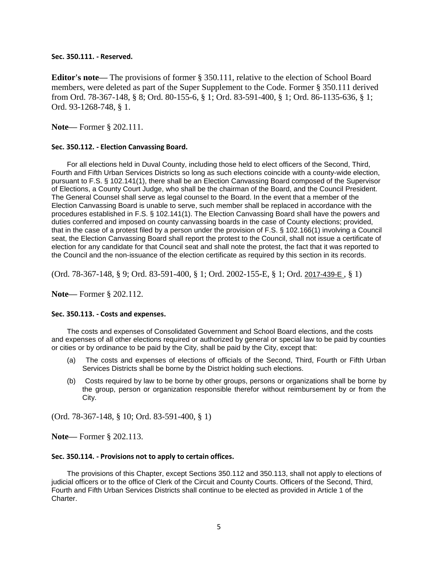**Sec. 350.111. - Reserved.** 

**Editor's note—** The provisions of former § 350.111, relative to the election of School Board members, were deleted as part of the Super Supplement to the Code. Former § 350.111 derived from Ord. 78-367-148, § 8; Ord. 80-155-6, § 1; Ord. 83-591-400, § 1; Ord. 86-1135-636, § 1; Ord. 93-1268-748, § 1.

**Note—** Former § 202.111.

# **Sec. 350.112. - Election Canvassing Board.**

For all elections held in Duval County, including those held to elect officers of the Second, Third, Fourth and Fifth Urban Services Districts so long as such elections coincide with a county-wide election, pursuant to F.S. § 102.141(1), there shall be an Election Canvassing Board composed of the Supervisor of Elections, a County Court Judge, who shall be the chairman of the Board, and the Council President. The General Counsel shall serve as legal counsel to the Board. In the event that a member of the Election Canvassing Board is unable to serve, such member shall be replaced in accordance with the procedures established in F.S. § 102.141(1). The Election Canvassing Board shall have the powers and duties conferred and imposed on county canvassing boards in the case of County elections; provided, that in the case of a protest filed by a person under the provision of F.S. § 102.166(1) involving a Council seat, the Election Canvassing Board shall report the protest to the Council, shall not issue a certificate of election for any candidate for that Council seat and shall note the protest, the fact that it was reported to the Council and the non-issuance of the election certificate as required by this section in its records.

(Ord. 78-367-148, § 9; Ord. 83-591-400, § 1; Ord. 2002-155-E, § 1; Ord. [2017-439-E](http://newords.municode.com/readordinance.aspx?ordinanceid=837627&datasource=ordbank) , § 1)

**Note—** Former § 202.112.

#### **Sec. 350.113. - Costs and expenses.**

The costs and expenses of Consolidated Government and School Board elections, and the costs and expenses of all other elections required or authorized by general or special law to be paid by counties or cities or by ordinance to be paid by the City, shall be paid by the City, except that:

- (a) The costs and expenses of elections of officials of the Second, Third, Fourth or Fifth Urban Services Districts shall be borne by the District holding such elections.
- (b) Costs required by law to be borne by other groups, persons or organizations shall be borne by the group, person or organization responsible therefor without reimbursement by or from the City.

(Ord. 78-367-148, § 10; Ord. 83-591-400, § 1)

**Note—** Former § 202.113.

#### **Sec. 350.114. - Provisions not to apply to certain offices.**

The provisions of this Chapter, except Sections 350.112 and 350.113, shall not apply to elections of judicial officers or to the office of Clerk of the Circuit and County Courts. Officers of the Second, Third, Fourth and Fifth Urban Services Districts shall continue to be elected as provided in Article 1 of the Charter.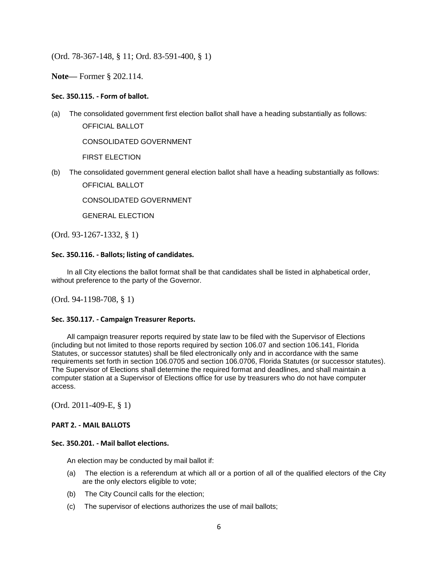(Ord. 78-367-148, § 11; Ord. 83-591-400, § 1)

**Note—** Former § 202.114.

# **Sec. 350.115. - Form of ballot.**

(a) The consolidated government first election ballot shall have a heading substantially as follows:

OFFICIAL BALLOT

CONSOLIDATED GOVERNMENT

FIRST ELECTION

(b) The consolidated government general election ballot shall have a heading substantially as follows: OFFICIAL BALLOT

CONSOLIDATED GOVERNMENT

GENERAL ELECTION

(Ord. 93-1267-1332, § 1)

#### **Sec. 350.116. - Ballots; listing of candidates.**

In all City elections the ballot format shall be that candidates shall be listed in alphabetical order, without preference to the party of the Governor.

(Ord. 94-1198-708, § 1)

#### **Sec. 350.117. - Campaign Treasurer Reports.**

All campaign treasurer reports required by state law to be filed with the Supervisor of Elections (including but not limited to those reports required by section 106.07 and section 106.141, Florida Statutes, or successor statutes) shall be filed electronically only and in accordance with the same requirements set forth in section 106.0705 and section 106.0706, Florida Statutes (or successor statutes). The Supervisor of Elections shall determine the required format and deadlines, and shall maintain a computer station at a Supervisor of Elections office for use by treasurers who do not have computer access.

(Ord. 2011-409-E, § 1)

#### **PART 2. - MAIL BALLOTS**

#### **Sec. 350.201. - Mail ballot elections.**

An election may be conducted by mail ballot if:

- (a) The election is a referendum at which all or a portion of all of the qualified electors of the City are the only electors eligible to vote;
- (b) The City Council calls for the election;
- (c) The supervisor of elections authorizes the use of mail ballots;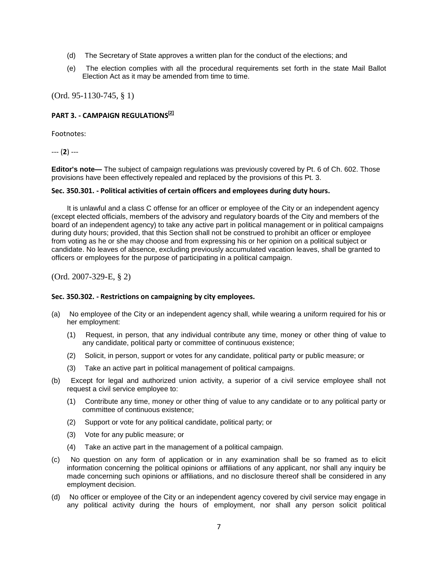- (d) The Secretary of State approves a written plan for the conduct of the elections; and
- (e) The election complies with all the procedural requirements set forth in the state Mail Ballot Election Act as it may be amended from time to time.

(Ord. 95-1130-745, § 1)

# **PART 3. - CAMPAIGN REGULATIONS [2]**

Footnotes:

--- (**2**) ---

**Editor's note—** The subject of campaign regulations was previously covered by Pt. 6 of Ch. 602. Those provisions have been effectively repealed and replaced by the provisions of this Pt. 3.

#### **Sec. 350.301. - Political activities of certain officers and employees during duty hours.**

It is unlawful and a class C offense for an officer or employee of the City or an independent agency (except elected officials, members of the advisory and regulatory boards of the City and members of the board of an independent agency) to take any active part in political management or in political campaigns during duty hours; provided, that this Section shall not be construed to prohibit an officer or employee from voting as he or she may choose and from expressing his or her opinion on a political subject or candidate. No leaves of absence, excluding previously accumulated vacation leaves, shall be granted to officers or employees for the purpose of participating in a political campaign.

(Ord. 2007-329-E, § 2)

#### **Sec. 350.302. - Restrictions on campaigning by city employees.**

- (a) No employee of the City or an independent agency shall, while wearing a uniform required for his or her employment:
	- (1) Request, in person, that any individual contribute any time, money or other thing of value to any candidate, political party or committee of continuous existence;
	- (2) Solicit, in person, support or votes for any candidate, political party or public measure; or
	- (3) Take an active part in political management of political campaigns.
- (b) Except for legal and authorized union activity, a superior of a civil service employee shall not request a civil service employee to:
	- (1) Contribute any time, money or other thing of value to any candidate or to any political party or committee of continuous existence;
	- (2) Support or vote for any political candidate, political party; or
	- (3) Vote for any public measure; or
	- (4) Take an active part in the management of a political campaign.
- (c) No question on any form of application or in any examination shall be so framed as to elicit information concerning the political opinions or affiliations of any applicant, nor shall any inquiry be made concerning such opinions or affiliations, and no disclosure thereof shall be considered in any employment decision.
- (d) No officer or employee of the City or an independent agency covered by civil service may engage in any political activity during the hours of employment, nor shall any person solicit political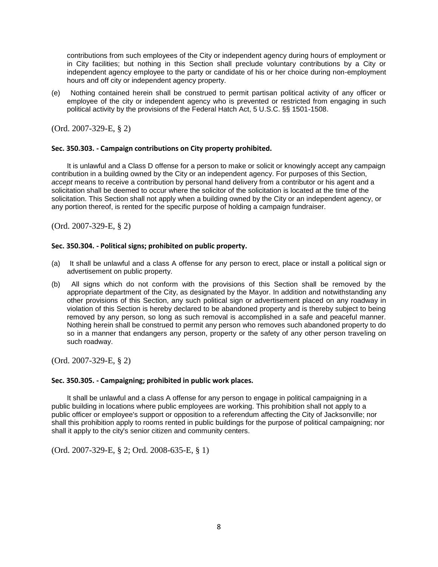contributions from such employees of the City or independent agency during hours of employment or in City facilities; but nothing in this Section shall preclude voluntary contributions by a City or independent agency employee to the party or candidate of his or her choice during non-employment hours and off city or independent agency property.

(e) Nothing contained herein shall be construed to permit partisan political activity of any officer or employee of the city or independent agency who is prevented or restricted from engaging in such political activity by the provisions of the Federal Hatch Act, 5 U.S.C. §§ 1501-1508.

(Ord. 2007-329-E, § 2)

# **Sec. 350.303. - Campaign contributions on City property prohibited.**

It is unlawful and a Class D offense for a person to make or solicit or knowingly accept any campaign contribution in a building owned by the City or an independent agency. For purposes of this Section, *accept* means to receive a contribution by personal hand delivery from a contributor or his agent and a solicitation shall be deemed to occur where the solicitor of the solicitation is located at the time of the solicitation. This Section shall not apply when a building owned by the City or an independent agency, or any portion thereof, is rented for the specific purpose of holding a campaign fundraiser.

(Ord. 2007-329-E, § 2)

# **Sec. 350.304. - Political signs; prohibited on public property.**

- (a) It shall be unlawful and a class A offense for any person to erect, place or install a political sign or advertisement on public property.
- (b) All signs which do not conform with the provisions of this Section shall be removed by the appropriate department of the City, as designated by the Mayor. In addition and notwithstanding any other provisions of this Section, any such political sign or advertisement placed on any roadway in violation of this Section is hereby declared to be abandoned property and is thereby subject to being removed by any person, so long as such removal is accomplished in a safe and peaceful manner. Nothing herein shall be construed to permit any person who removes such abandoned property to do so in a manner that endangers any person, property or the safety of any other person traveling on such roadway.

(Ord. 2007-329-E, § 2)

#### **Sec. 350.305. - Campaigning; prohibited in public work places.**

It shall be unlawful and a class A offense for any person to engage in political campaigning in a public building in locations where public employees are working. This prohibition shall not apply to a public officer or employee's support or opposition to a referendum affecting the City of Jacksonville; nor shall this prohibition apply to rooms rented in public buildings for the purpose of political campaigning; nor shall it apply to the city's senior citizen and community centers.

(Ord. 2007-329-E, § 2; Ord. 2008-635-E, § 1)